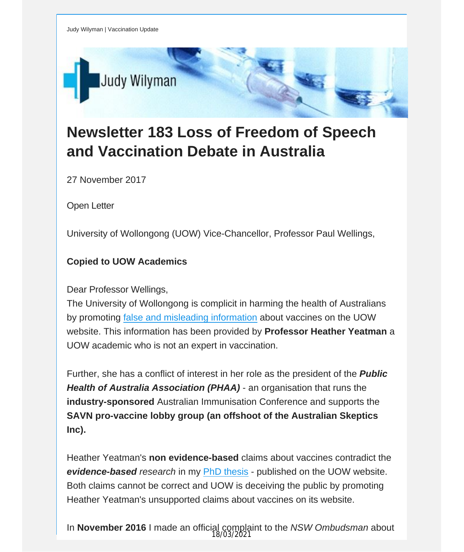

## **Newsletter 183 Loss of Freedom of Speech and Vaccination Debate in Australia**

27 November 2017

Open Letter

University of Wollongong (UOW) Vice-Chancellor, Professor Paul Wellings,

## **Copied to UOW Academics**

Dear Professor Wellings,

The University of Wollongong is complicit in harming the health of Australians by promoting false and misleading [information](https://vaccinationdecisions.us8.list-manage.com/track/click?u=f20605fde3732e41929f4a3f2&id=3fdd096a85&e=fec8337d3c) about vaccines on the UOW website. This information has been provided by **Professor Heather Yeatman** a UOW academic who is not an expert in vaccination.

Further, she has a conflict of interest in her role as the president of the *Public Health of Australia Association (PHAA)* - an organisation that runs the **industry-sponsored** Australian Immunisation Conference and supports the **SAVN pro-vaccine lobby group (an offshoot of the Australian Skeptics Inc).**

Heather Yeatman's **non evidence-based** claims about vaccines contradict the *evidence-based research* in my PhD [thesis](https://vaccinationdecisions.us8.list-manage.com/track/click?u=f20605fde3732e41929f4a3f2&id=690c5f3d25&e=fec8337d3c) - published on the UOW website. Both claims cannot be correct and UOW is deceiving the public by promoting Heather Yeatman's unsupported claims about vaccines on its website.

In **November 2016** I made an official complaint to the *NSW Ombudsman* about 18/03/2021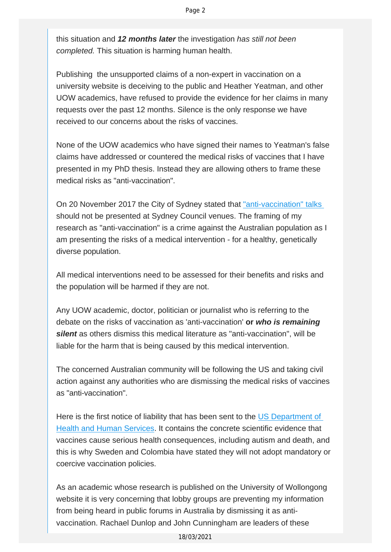this situation and *12 months later* the investigation *has still not been completed.* This situation is harming human health.

Publishing the unsupported claims of a non-expert in vaccination on a university website is deceiving to the public and Heather Yeatman, and other UOW academics, have refused to provide the evidence for her claims in many requests over the past 12 months. Silence is the only response we have received to our concerns about the risks of vaccines.

None of the UOW academics who have signed their names to Yeatman's false claims have addressed or countered the medical risks of vaccines that I have presented in my PhD thesis. Instead they are allowing others to frame these medical risks as "anti-vaccination".

On 20 November 2017 the City of Sydney stated that ["anti-vaccination" talks](https://vaccinationdecisions.us8.list-manage.com/track/click?u=f20605fde3732e41929f4a3f2&id=a701fbd4c1&e=fec8337d3c)  should not be presented at Sydney Council venues. The framing of my research as "anti-vaccination" is a crime against the Australian population as I am presenting the risks of a medical intervention - for a healthy, genetically diverse population.

All medical interventions need to be assessed for their benefits and risks and the population will be harmed if they are not.

Any UOW academic, doctor, politician or journalist who is referring to the debate on the risks of vaccination as 'anti-vaccination' **or** *who is remaining silent* as others dismiss this medical literature as "anti-vaccination", will be liable for the harm that is being caused by this medical intervention.

The concerned Australian community will be following the US and taking civil action against any authorities who are dismissing the medical risks of vaccines as "anti-vaccination".

Here is the first notice of liability that has been sent to the [US Department of](https://vaccinationdecisions.us8.list-manage.com/track/click?u=f20605fde3732e41929f4a3f2&id=1d22abf23d&e=fec8337d3c) [Health and Human Services](https://vaccinationdecisions.us8.list-manage.com/track/click?u=f20605fde3732e41929f4a3f2&id=1d22abf23d&e=fec8337d3c). It contains the concrete scientific evidence that vaccines cause serious health consequences, including autism and death, and this is why Sweden and Colombia have stated they will not adopt mandatory or coercive vaccination policies.

As an academic whose research is published on the University of Wollongong website it is very concerning that lobby groups are preventing my information from being heard in public forums in Australia by dismissing it as antivaccination. Rachael Dunlop and John Cunningham are leaders of these

18/03/2021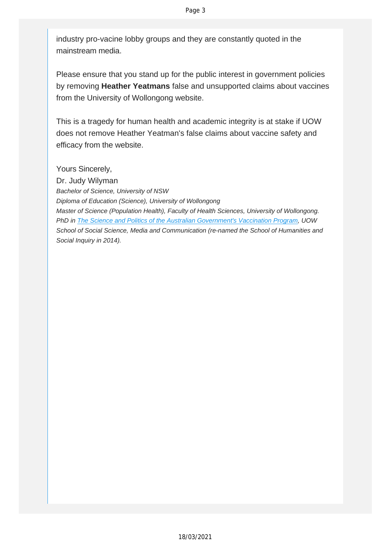industry pro-vacine lobby groups and they are constantly quoted in the mainstream media.

Please ensure that you stand up for the public interest in government policies by removing **Heather Yeatmans** false and unsupported claims about vaccines from the University of Wollongong website.

This is a tragedy for human health and academic integrity is at stake if UOW does not remove Heather Yeatman's false claims about vaccine safety and efficacy from the website.

Yours Sincerely,

Dr. Judy Wilyman *Bachelor of Science, University of NSW Diploma of Education (Science), University of Wollongong Master of Science (Population Health), Faculty of Health Sciences, University of Wollongong. PhD in The Science and Politics of the Australian Government's Vaccination Program, UOW School of Social Science, Media and Communication (re-named the School of Humanities and Social Inquiry in 2014).*